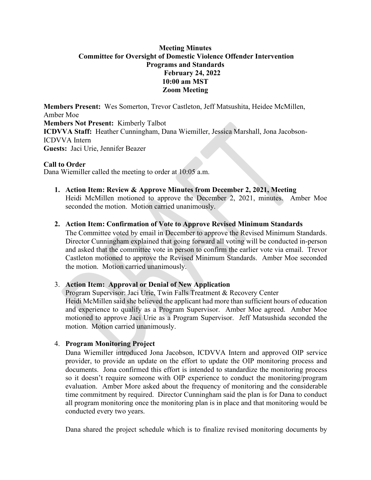# **Meeting Minutes Committee for Oversight of Domestic Violence Offender Intervention Programs and Standards February 24, 2022 10:00 am MST Zoom Meeting**

**Members Present:** Wes Somerton, Trevor Castleton, Jeff Matsushita, Heidee McMillen, Amber Moe **Members Not Present:** Kimberly Talbot **ICDVVA Staff:** Heather Cunningham, Dana Wiemiller, Jessica Marshall, Jona Jacobson-ICDVVA Intern **Guests:** Jaci Urie, Jennifer Beazer

### **Call to Order**

Dana Wiemiller called the meeting to order at 10:05 a.m.

**1. Action Item: Review & Approve Minutes from December 2, 2021, Meeting**  Heidi McMillen motioned to approve the December 2, 2021, minutes. Amber Moe seconded the motion. Motion carried unanimously.

### **2. Action Item: Confirmation of Vote to Approve Revised Minimum Standards**

The Committee voted by email in December to approve the Revised Minimum Standards. Director Cunningham explained that going forward all voting will be conducted in-person and asked that the committee vote in person to confirm the earlier vote via email. Trevor Castleton motioned to approve the Revised Minimum Standards. Amber Moe seconded the motion. Motion carried unanimously.

# 3. **Action Item: Approval or Denial of New Application**

Program Supervisor: Jaci Urie, Twin Falls Treatment & Recovery Center Heidi McMillen said she believed the applicant had more than sufficient hours of education and experience to qualify as a Program Supervisor. Amber Moe agreed. Amber Moe motioned to approve Jaci Urie as a Program Supervisor. Jeff Matsushida seconded the motion. Motion carried unanimously.

# 4. **Program Monitoring Project**

Dana Wiemiller introduced Jona Jacobson, ICDVVA Intern and approved OIP service provider, to provide an update on the effort to update the OIP monitoring process and documents. Jona confirmed this effort is intended to standardize the monitoring process so it doesn't require someone with OIP experience to conduct the monitoring/program evaluation. Amber More asked about the frequency of monitoring and the considerable time commitment by required. Director Cunningham said the plan is for Dana to conduct all program monitoring once the monitoring plan is in place and that monitoring would be conducted every two years.

Dana shared the project schedule which is to finalize revised monitoring documents by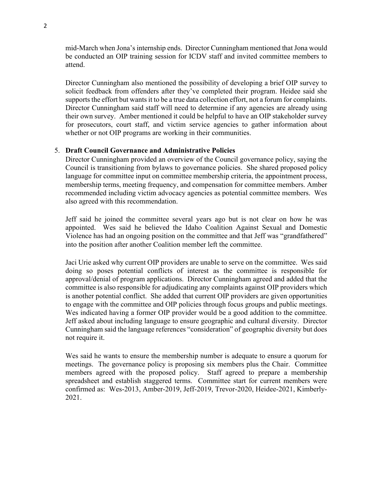mid-March when Jona's internship ends. Director Cunningham mentioned that Jona would be conducted an OIP training session for ICDV staff and invited committee members to attend.

Director Cunningham also mentioned the possibility of developing a brief OIP survey to solicit feedback from offenders after they've completed their program. Heidee said she supports the effort but wants it to be a true data collection effort, not a forum for complaints. Director Cunningham said staff will need to determine if any agencies are already using their own survey. Amber mentioned it could be helpful to have an OIP stakeholder survey for prosecutors, court staff, and victim service agencies to gather information about whether or not OIP programs are working in their communities.

#### 5. **Draft Council Governance and Administrative Policies**

Director Cunningham provided an overview of the Council governance policy, saying the Council is transitioning from bylaws to governance policies. She shared proposed policy language for committee input on committee membership criteria, the appointment process, membership terms, meeting frequency, and compensation for committee members. Amber recommended including victim advocacy agencies as potential committee members. Wes also agreed with this recommendation.

Jeff said he joined the committee several years ago but is not clear on how he was appointed. Wes said he believed the Idaho Coalition Against Sexual and Domestic Violence has had an ongoing position on the committee and that Jeff was "grandfathered" into the position after another Coalition member left the committee.

Jaci Urie asked why current OIP providers are unable to serve on the committee. Wes said doing so poses potential conflicts of interest as the committee is responsible for approval/denial of program applications. Director Cunningham agreed and added that the committee is also responsible for adjudicating any complaints against OIP providers which is another potential conflict. She added that current OIP providers are given opportunities to engage with the committee and OIP policies through focus groups and public meetings. Wes indicated having a former OIP provider would be a good addition to the committee. Jeff asked about including language to ensure geographic and cultural diversity. Director Cunningham said the language references "consideration" of geographic diversity but does not require it.

Wes said he wants to ensure the membership number is adequate to ensure a quorum for meetings. The governance policy is proposing six members plus the Chair. Committee members agreed with the proposed policy. Staff agreed to prepare a membership spreadsheet and establish staggered terms. Committee start for current members were confirmed as: Wes-2013, Amber-2019, Jeff-2019, Trevor-2020, Heidee-2021, Kimberly-2021.